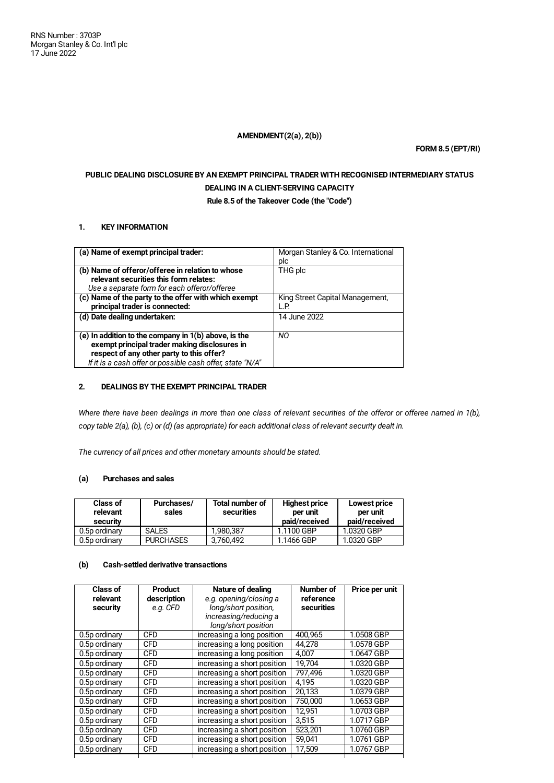## **AMENDMENT(2(a), 2(b))**

**FORM 8.5 (EPT/RI)**

# **PUBLIC DEALING DISCLOSURE BY AN EXEMPT PRINCIPAL TRADER WITH RECOGNISED INTERMEDIARY STATUS DEALING IN A CLIENT-SERVING CAPACITY**

**Rule 8.5 of the Takeover Code (the "Code")**

## **1. KEY INFORMATION**

| (a) Name of exempt principal trader:                      | Morgan Stanley & Co. International |
|-----------------------------------------------------------|------------------------------------|
|                                                           | plc                                |
| (b) Name of offeror/offeree in relation to whose          | THG plc                            |
| relevant securities this form relates:                    |                                    |
| Use a separate form for each offeror/offeree              |                                    |
| (c) Name of the party to the offer with which exempt      | King Street Capital Management,    |
| principal trader is connected:                            | L.P.                               |
| (d) Date dealing undertaken:                              | 14 June 2022                       |
|                                                           |                                    |
| (e) In addition to the company in 1(b) above, is the      | NO.                                |
| exempt principal trader making disclosures in             |                                    |
| respect of any other party to this offer?                 |                                    |
| If it is a cash offer or possible cash offer, state "N/A" |                                    |

## **2. DEALINGS BY THE EXEMPT PRINCIPAL TRADER**

Where there have been dealings in more than one class of relevant securities of the offeror or offeree named in 1(b), copy table 2(a), (b), (c) or (d) (as appropriate) for each additional class of relevant security dealt in.

*The currency of all prices and other monetary amounts should be stated.*

# **(a) Purchases and sales**

| <b>Class of</b><br>relevant<br>security | Purchases/<br>sales | <b>Total number of</b><br>securities | <b>Highest price</b><br>per unit<br>paid/received | Lowest price<br>per unit<br>paid/received |
|-----------------------------------------|---------------------|--------------------------------------|---------------------------------------------------|-------------------------------------------|
| 0.5p ordinary                           | <b>SALES</b>        | 1.980.387                            | 1.1100 GBP                                        | 1.0320 GBP                                |
| 0.5p ordinary                           | <b>PURCHASES</b>    | 3,760,492                            | 1.1466 GBP                                        | 1.0320 GBP                                |

# **(b) Cash-settled derivative transactions**

| Class of<br>relevant<br>security | <b>Product</b><br>description<br>e.g. CFD | Nature of dealing<br>e.g. opening/closing a<br>long/short position,<br>increasing/reducing a<br>long/short position | Number of<br>reference<br>securities | Price per unit |
|----------------------------------|-------------------------------------------|---------------------------------------------------------------------------------------------------------------------|--------------------------------------|----------------|
| 0.5p ordinary                    | <b>CFD</b>                                | increasing a long position                                                                                          | 400.965                              | 1.0508 GBP     |
| 0.5p ordinary                    | <b>CFD</b>                                | increasing a long position                                                                                          | 44.278                               | 1.0578 GBP     |
| 0.5p ordinary                    | <b>CFD</b>                                | increasing a long position                                                                                          | 4.007                                | 1.0647 GBP     |
| 0.5p ordinary                    | <b>CFD</b>                                | increasing a short position                                                                                         | 19.704                               | 1.0320 GBP     |
| 0.5p ordinary                    | <b>CFD</b>                                | increasing a short position                                                                                         | 797.496                              | 1.0320 GBP     |
| 0.5p ordinary                    | <b>CFD</b>                                | increasing a short position                                                                                         | 4.195                                | 1.0320 GBP     |
| 0.5p ordinary                    | <b>CFD</b>                                | increasing a short position                                                                                         | 20.133                               | 1.0379 GBP     |
| 0.5p ordinary                    | <b>CFD</b>                                | increasing a short position                                                                                         | 750.000                              | 1.0653 GBP     |
| 0.5p ordinary                    | <b>CFD</b>                                | increasing a short position                                                                                         | 12,951                               | 1.0703 GBP     |
| 0.5p ordinary                    | <b>CFD</b>                                | increasing a short position                                                                                         | 3.515                                | 1.0717 GBP     |
| 0.5p ordinary                    | <b>CFD</b>                                | increasing a short position                                                                                         | 523,201                              | 1.0760 GBP     |
| 0.5p ordinary                    | <b>CFD</b>                                | increasing a short position                                                                                         | 59,041                               | 1.0761 GBP     |
| 0.5p ordinary                    | <b>CFD</b>                                | increasing a short position                                                                                         | 17,509                               | 1.0767 GBP     |
|                                  |                                           |                                                                                                                     |                                      |                |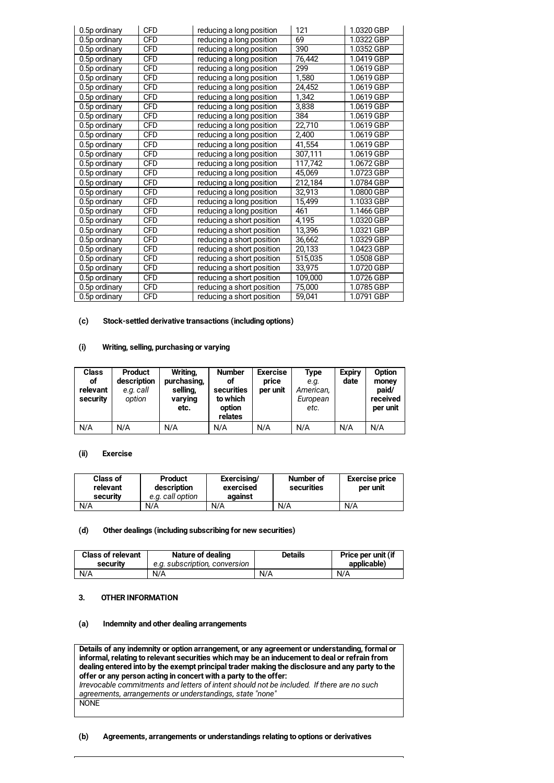| 0.5p ordinary | <b>CFD</b> | reducing a long position  | 121     | 1.0320 GBP |
|---------------|------------|---------------------------|---------|------------|
| 0.5p ordinary | <b>CFD</b> | reducing a long position  | 69      | 1.0322 GBP |
| 0.5p ordinary | <b>CFD</b> | reducing a long position  | 390     | 1.0352 GBP |
| 0.5p ordinary | <b>CFD</b> | reducing a long position  | 76,442  | 1.0419 GBP |
| 0.5p ordinary | <b>CFD</b> | reducing a long position  | 299     | 1.0619 GBP |
| 0.5p ordinary | <b>CFD</b> | reducing a long position  | 1.580   | 1.0619 GBP |
| 0.5p ordinary | <b>CFD</b> | reducing a long position  | 24,452  | 1.0619 GBP |
| 0.5p ordinary | <b>CFD</b> | reducing a long position  | 1,342   | 1.0619 GBP |
| 0.5p ordinary | <b>CFD</b> | reducing a long position  | 3,838   | 1.0619 GBP |
| 0.5p ordinary | CFD        | reducing a long position  | 384     | 1.0619 GBP |
| 0.5p ordinary | <b>CFD</b> | reducing a long position  | 22,710  | 1.0619 GBP |
| 0.5p ordinary | <b>CFD</b> | reducing a long position  | 2,400   | 1.0619 GBP |
| 0.5p ordinary | <b>CFD</b> | reducing a long position  | 41,554  | 1.0619 GBP |
| 0.5p ordinary | <b>CFD</b> | reducing a long position  | 307,111 | 1.0619 GBP |
| 0.5p ordinary | <b>CFD</b> | reducing a long position  | 117,742 | 1.0672 GBP |
| 0.5p ordinary | <b>CFD</b> | reducing a long position  | 45,069  | 1.0723 GBP |
| 0.5p ordinary | <b>CFD</b> | reducing a long position  | 212,184 | 1.0784 GBP |
| 0.5p ordinary | <b>CFD</b> | reducing a long position  | 32,913  | 1.0800 GBP |
| 0.5p ordinary | <b>CFD</b> | reducing a long position  | 15,499  | 1.1033 GBP |
| 0.5p ordinary | <b>CFD</b> | reducing a long position  | 461     | 1.1466 GBP |
| 0.5p ordinary | <b>CFD</b> | reducing a short position | 4,195   | 1.0320 GBP |
| 0.5p ordinary | <b>CFD</b> | reducing a short position | 13,396  | 1.0321 GBP |
| 0.5p ordinary | <b>CFD</b> | reducing a short position | 36,662  | 1.0329 GBP |
| 0.5p ordinary | <b>CFD</b> | reducing a short position | 20,133  | 1.0423 GBP |
| 0.5p ordinary | <b>CFD</b> | reducing a short position | 515,035 | 1.0508 GBP |
| 0.5p ordinary | <b>CFD</b> | reducing a short position | 33,975  | 1.0720 GBP |
| 0.5p ordinary | <b>CFD</b> | reducing a short position | 109,000 | 1.0726 GBP |
| 0.5p ordinary | <b>CFD</b> | reducing a short position | 75,000  | 1.0785 GBP |
| 0.5p ordinary | <b>CFD</b> | reducing a short position | 59,041  | 1.0791 GBP |

## **(c) Stock-settled derivative transactions (including options)**

### **(i) Writing, selling, purchasing or varying**

| <b>Class</b><br>оf<br>relevant<br>security | <b>Product</b><br>description<br>e.g. call<br>option | Writing,<br>purchasing,<br>selling,<br>varying<br>etc. | <b>Number</b><br>οf<br>securities<br>to which<br>option<br>relates | <b>Exercise</b><br>price<br>per unit | Type<br>e.g.<br>American,<br>European<br>etc. | <b>Expiry</b><br>date | Option<br>money<br>paid/<br>received<br>per unit |
|--------------------------------------------|------------------------------------------------------|--------------------------------------------------------|--------------------------------------------------------------------|--------------------------------------|-----------------------------------------------|-----------------------|--------------------------------------------------|
| N/A                                        | N/A                                                  | N/A                                                    | N/A                                                                | N/A                                  | N/A                                           | N/A                   | N/A                                              |

## **(ii) Exercise**

| <b>Class of</b><br>relevant<br>security | Product<br>description<br>e.g. call option | Exercising/<br>exercised<br>against | Number of<br>securities | <b>Exercise price</b><br>per unit |
|-----------------------------------------|--------------------------------------------|-------------------------------------|-------------------------|-----------------------------------|
| N/A                                     | N/A                                        | N/A                                 | N/A                     | N/A                               |

#### **(d) Other dealings (including subscribing for new securities)**

| <b>Class of relevant</b> | Nature of dealing             | <b>Details</b> | Price per unit (if |
|--------------------------|-------------------------------|----------------|--------------------|
| security                 | e.a. subscription, conversion |                | applicable)        |
| N/A                      | N/A                           | N/A            | N/A                |

## **3. OTHER INFORMATION**

#### **(a) Indemnity and other dealing arrangements**

**Details of any indemnity or option arrangement, or any agreement or understanding, formal or informal, relating to relevant securities which may be an inducement to deal or refrain from dealing entered into by the exempt principal trader making the disclosure and any party to the offer or any person acting in concert with a party to the offer:** *Irrevocable commitments and letters of intent should not be included. If there are no such agreements, arrangements or understandings, state "none"* **NONE** 

#### **(b) Agreements, arrangements or understandings relating to options or derivatives**